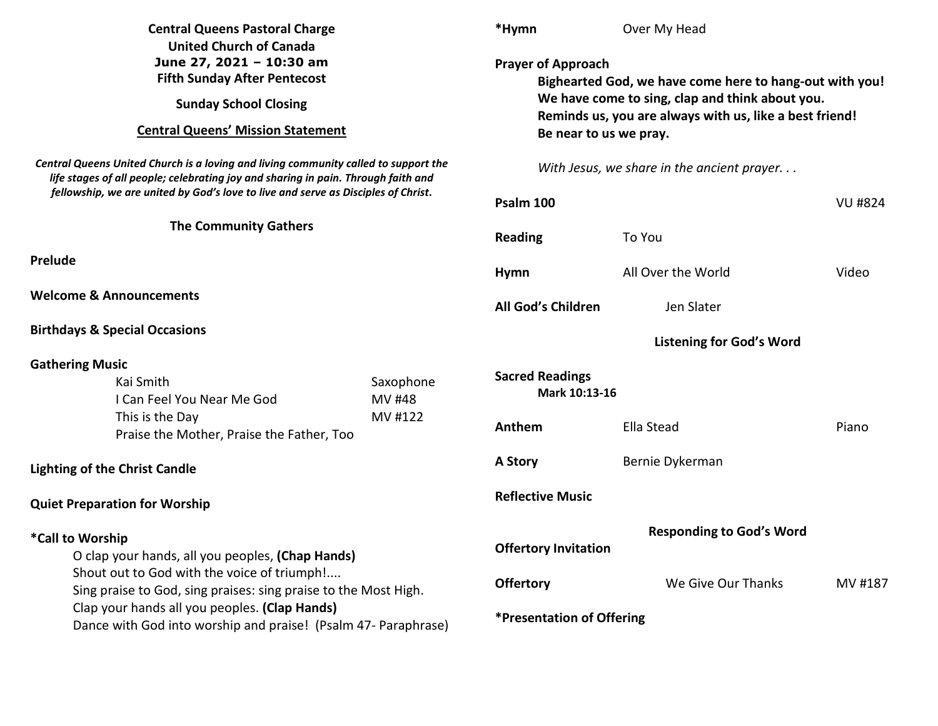| <b>Central Queens Pastoral Charge</b><br><b>United Church of Canada</b><br>June 27, 2021 - 10:30 am<br><b>Fifth Sunday After Pentecost</b><br><b>Sunday School Closing</b><br><b>Central Queens' Mission Statement</b>                                                                                    |                                | *Hymn                                                                                                                                                                                                                        | Over My Head                    |         |  |                                                                                                                                                                                                                                                               |  |                                            |  |                |  |
|-----------------------------------------------------------------------------------------------------------------------------------------------------------------------------------------------------------------------------------------------------------------------------------------------------------|--------------------------------|------------------------------------------------------------------------------------------------------------------------------------------------------------------------------------------------------------------------------|---------------------------------|---------|--|---------------------------------------------------------------------------------------------------------------------------------------------------------------------------------------------------------------------------------------------------------------|--|--------------------------------------------|--|----------------|--|
|                                                                                                                                                                                                                                                                                                           |                                | <b>Prayer of Approach</b><br>Bighearted God, we have come here to hang-out with you!<br>We have come to sing, clap and think about you.<br>Reminds us, you are always with us, like a best friend!<br>Be near to us we pray. |                                 |         |  |                                                                                                                                                                                                                                                               |  |                                            |  |                |  |
|                                                                                                                                                                                                                                                                                                           |                                |                                                                                                                                                                                                                              |                                 |         |  | Central Queens United Church is a loving and living community called to support the<br>life stages of all people; celebrating joy and sharing in pain. Through faith and<br>fellowship, we are united by God's love to live and serve as Disciples of Christ. |  | With Jesus, we share in the ancient prayer |  |                |  |
|                                                                                                                                                                                                                                                                                                           |                                |                                                                                                                                                                                                                              |                                 |         |  |                                                                                                                                                                                                                                                               |  | Psalm 100                                  |  | <b>VU #824</b> |  |
| <b>The Community Gathers</b>                                                                                                                                                                                                                                                                              |                                | <b>Reading</b>                                                                                                                                                                                                               | To You                          |         |  |                                                                                                                                                                                                                                                               |  |                                            |  |                |  |
| Prelude                                                                                                                                                                                                                                                                                                   |                                | <b>Hymn</b>                                                                                                                                                                                                                  | All Over the World              | Video   |  |                                                                                                                                                                                                                                                               |  |                                            |  |                |  |
| <b>Welcome &amp; Announcements</b>                                                                                                                                                                                                                                                                        |                                | All God's Children                                                                                                                                                                                                           | Jen Slater                      |         |  |                                                                                                                                                                                                                                                               |  |                                            |  |                |  |
| <b>Birthdays &amp; Special Occasions</b>                                                                                                                                                                                                                                                                  |                                | <b>Listening for God's Word</b>                                                                                                                                                                                              |                                 |         |  |                                                                                                                                                                                                                                                               |  |                                            |  |                |  |
| <b>Gathering Music</b>                                                                                                                                                                                                                                                                                    |                                |                                                                                                                                                                                                                              |                                 |         |  |                                                                                                                                                                                                                                                               |  |                                            |  |                |  |
| Kai Smith<br>I Can Feel You Near Me God                                                                                                                                                                                                                                                                   | Saxophone<br>MV #48<br>MV #122 | <b>Sacred Readings</b><br>Mark 10:13-16                                                                                                                                                                                      |                                 |         |  |                                                                                                                                                                                                                                                               |  |                                            |  |                |  |
| This is the Day<br>Praise the Mother, Praise the Father, Too                                                                                                                                                                                                                                              |                                | Anthem                                                                                                                                                                                                                       | Ella Stead                      | Piano   |  |                                                                                                                                                                                                                                                               |  |                                            |  |                |  |
| <b>Lighting of the Christ Candle</b>                                                                                                                                                                                                                                                                      |                                | A Story                                                                                                                                                                                                                      | Bernie Dykerman                 |         |  |                                                                                                                                                                                                                                                               |  |                                            |  |                |  |
| <b>Quiet Preparation for Worship</b>                                                                                                                                                                                                                                                                      |                                | <b>Reflective Music</b>                                                                                                                                                                                                      |                                 |         |  |                                                                                                                                                                                                                                                               |  |                                            |  |                |  |
| *Call to Worship<br>O clap your hands, all you peoples, (Chap Hands)<br>Shout out to God with the voice of triumph!<br>Sing praise to God, sing praises: sing praise to the Most High.<br>Clap your hands all you peoples. (Clap Hands)<br>Dance with God into worship and praise! (Psalm 47- Paraphrase) |                                | <b>Offertory Invitation</b>                                                                                                                                                                                                  | <b>Responding to God's Word</b> |         |  |                                                                                                                                                                                                                                                               |  |                                            |  |                |  |
|                                                                                                                                                                                                                                                                                                           |                                |                                                                                                                                                                                                                              |                                 |         |  |                                                                                                                                                                                                                                                               |  |                                            |  |                |  |
|                                                                                                                                                                                                                                                                                                           |                                | <b>Offertory</b>                                                                                                                                                                                                             | We Give Our Thanks              | MV #187 |  |                                                                                                                                                                                                                                                               |  |                                            |  |                |  |
|                                                                                                                                                                                                                                                                                                           |                                | *Presentation of Offering                                                                                                                                                                                                    |                                 |         |  |                                                                                                                                                                                                                                                               |  |                                            |  |                |  |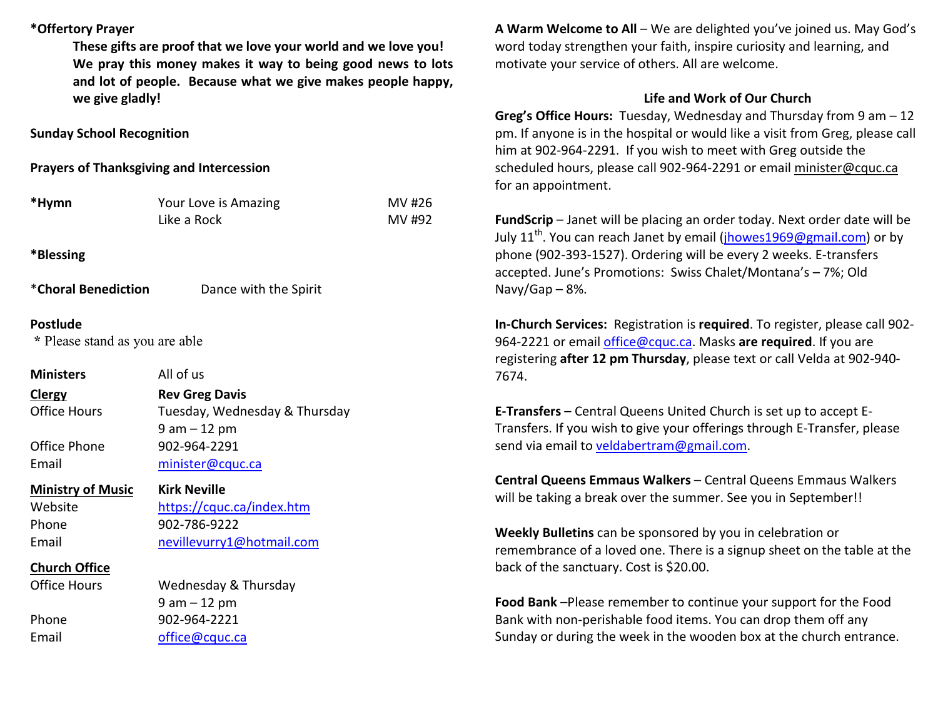## **\*Offertory Prayer**

**These gifts are proof that we love your world and we love you! We pray this money makes it way to being good news to lots and lot of people. Because what we give makes people happy, we give gladly!** 

**Sunday School Recognition** 

**Prayers of Thanksgiving and Intercession** 

| *Hymn                                      | Your Love is Amazing<br>Like a Rock | MV #26<br>MV #92 |
|--------------------------------------------|-------------------------------------|------------------|
| *Blessing                                  |                                     |                  |
| *Choral Benediction                        | Dance with the Spirit               |                  |
| Postlude<br>* Please stand as you are able |                                     |                  |
| <b>Ministers</b>                           | All of us                           |                  |
| Clergy                                     | <b>Rev Greg Davis</b>               |                  |
| <b>Office Hours</b>                        | Tuesday, Wednesday & Thursday       |                  |
|                                            | $9 am - 12 pm$                      |                  |
| Office Phone                               | 902-964-2291                        |                  |
| Email                                      | minister@cquc.ca                    |                  |
| <b>Ministry of Music</b>                   | <b>Kirk Neville</b>                 |                  |
| Website                                    | https://cquc.ca/index.htm           |                  |
| Phone                                      | 902-786-9222                        |                  |
| Email                                      | nevillevurry1@hotmail.com           |                  |
| <b>Church Office</b>                       |                                     |                  |
| <b>Office Hours</b>                        | Wednesday & Thursday                |                  |
|                                            | $9 am - 12 pm$                      |                  |
| Phone                                      | 902-964-2221                        |                  |
| Email                                      | office@cquc.ca                      |                  |
|                                            |                                     |                  |

**A Warm Welcome to All** – We are delighted you've joined us. May God's word today strengthen your faith, inspire curiosity and learning, and motivate your service of others. All are welcome.

## **Life and Work of Our Church**

 **Greg's Office Hours:** Tuesday, Wednesday and Thursday from 9 am – 12 pm. If anyone is in the hospital or would like a visit from Greg, please call him at 902-964-2291. If you wish to meet with Greg outside the scheduled hours, please call 902-964-2291 or email minister@cquc.ca for an appointment.

**FundScrip** – Janet will be placing an order today. Next order date will be July  $11<sup>th</sup>$ . You can reach Janet by email (jhowes1969@gmail.com) or by phone (902-393-1527). Ordering will be every 2 weeks. E-transfers accepted. June's Promotions: Swiss Chalet/Montana's – 7%; Old Navy/Gap  $-8%$ .

**In-Church Services:** Registration is **required**. To register, please call 902-964-2221 or email office@cquc.ca. Masks **are required**. If you are registering **after 12 pm Thursday**, please text or call Velda at 902-940- 7674.

**E-Transfers** – Central Queens United Church is set up to accept E-Transfers. If you wish to give your offerings through E-Transfer, please send via email to veldabertram@gmail.com.

**Central Queens Emmaus Walkers** – Central Queens Emmaus Walkers will be taking a break over the summer. See you in September!!

**Weekly Bulletins** can be sponsored by you in celebration or remembrance of a loved one. There is a signup sheet on the table at the back of the sanctuary. Cost is \$20.00.

**Food Bank** –Please remember to continue your support for the Food Bank with non-perishable food items. You can drop them off any Sunday or during the week in the wooden box at the church entrance.